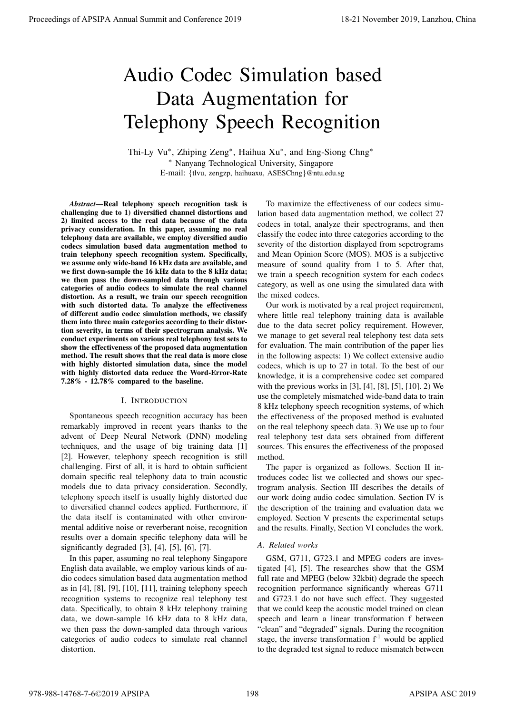# Audio Codec Simulation based Data Augmentation for Telephony Speech Recognition

Thi-Ly Vu<sup>∗</sup> , Zhiping Zeng<sup>∗</sup> , Haihua Xu<sup>∗</sup> , and Eng-Siong Chng<sup>∗</sup> <sup>∗</sup> Nanyang Technological University, Singapore E-mail: {tlvu, zengzp, haihuaxu, ASESChng}@ntu.edu.sg

*Abstract*—Real telephony speech recognition task is challenging due to 1) diversified channel distortions and 2) limited access to the real data because of the data privacy consideration. In this paper, assuming no real telephony data are available, we employ diversified audio codecs simulation based data augmentation method to train telephony speech recognition system. Specifically, we assume only wide-band 16 kHz data are available, and we first down-sample the 16 kHz data to the 8 kHz data; we then pass the down-sampled data through various categories of audio codecs to simulate the real channel distortion. As a result, we train our speech recognition with such distorted data. To analyze the effectiveness of different audio codec simulation methods, we classify them into three main categories according to their distortion severity, in terms of their spectrogram analysis. We conduct experiments on various real telephony test sets to show the effectiveness of the proposed data augmentation method. The result shows that the real data is more close with highly distorted simulation data, since the model with highly distorted data reduce the Word-Error-Rate 7.28% - 12.78% compared to the baseline. **Proceedings of APSIPA Annual Summit and Conference 2019**<br> **And in Conference 2019**<br> **And in Conference 2019**<br> **And in Conference 2019**<br> **And in Conference 2019**<br> **Conference 2019**<br> **Conference 2019**<br> **Conference 2019**<br>

## I. INTRODUCTION

Spontaneous speech recognition accuracy has been remarkably improved in recent years thanks to the advent of Deep Neural Network (DNN) modeling techniques, and the usage of big training data [1] [2]. However, telephony speech recognition is still challenging. First of all, it is hard to obtain sufficient domain specific real telephony data to train acoustic models due to data privacy consideration. Secondly, telephony speech itself is usually highly distorted due to diversified channel codecs applied. Furthermore, if the data itself is contaminated with other environmental additive noise or reverberant noise, recognition results over a domain specific telephony data will be significantly degraded  $[3]$ ,  $[4]$ ,  $[5]$ ,  $[6]$ ,  $[7]$ .

In this paper, assuming no real telephony Singapore English data available, we employ various kinds of audio codecs simulation based data augmentation method as in [4], [8], [9], [10], [11], training telephony speech recognition systems to recognize real telephony test data. Specifically, to obtain 8 kHz telephony training data, we down-sample 16 kHz data to 8 kHz data, we then pass the down-sampled data through various categories of audio codecs to simulate real channel distortion.

To maximize the effectiveness of our codecs simulation based data augmentation method, we collect 27 codecs in total, analyze their spectrograms, and then classify the codec into three categories according to the severity of the distortion displayed from sepctrograms and Mean Opinion Score (MOS). MOS is a subjective measure of sound quality from 1 to 5. After that, we train a speech recognition system for each codecs category, as well as one using the simulated data with the mixed codecs.

Our work is motivated by a real project requirement, where little real telephony training data is available due to the data secret policy requirement. However, we manage to get several real telephony test data sets for evaluation. The main contribution of the paper lies in the following aspects: 1) We collect extensive audio codecs, which is up to 27 in total. To the best of our knowledge, it is a comprehensive codec set compared with the previous works in [3], [4], [8], [5], [10]. 2) We use the completely mismatched wide-band data to train 8 kHz telephony speech recognition systems, of which the effectiveness of the proposed method is evaluated on the real telephony speech data. 3) We use up to four real telephony test data sets obtained from different sources. This ensures the effectiveness of the proposed method.

The paper is organized as follows. Section II introduces codec list we collected and shows our spectrogram analysis. Section III describes the details of our work doing audio codec simulation. Section IV is the description of the training and evaluation data we employed. Section V presents the experimental setups and the results. Finally, Section VI concludes the work.

## *A. Related works*

GSM, G711, G723.1 and MPEG coders are investigated [4], [5]. The researches show that the GSM full rate and MPEG (below 32kbit) degrade the speech recognition performance significantly whereas G711 and G723.1 do not have such effect. They suggested that we could keep the acoustic model trained on clean speech and learn a linear transformation f between "clean" and "degraded" signals. During the recognition stage, the inverse transformation  $f<sup>-1</sup>$  would be applied to the degraded test signal to reduce mismatch between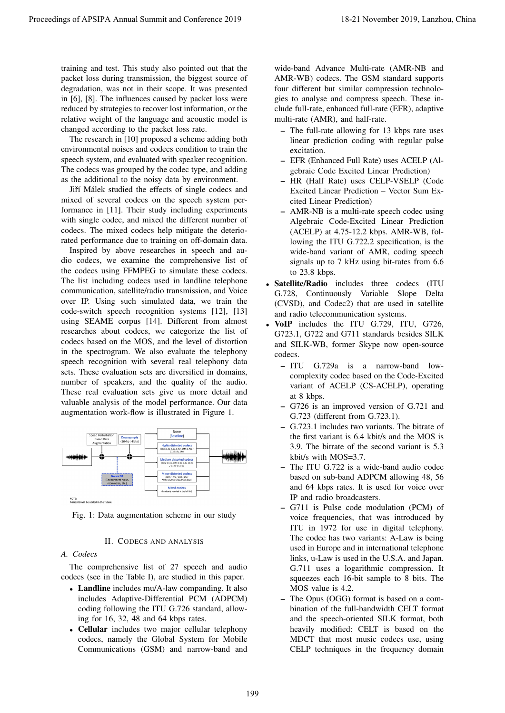training and test. This study also pointed out that the packet loss during transmission, the biggest source of degradation, was not in their scope. It was presented in [6], [8]. The influences caused by packet loss were reduced by strategies to recover lost information, or the relative weight of the language and acoustic model is changed according to the packet loss rate.

The research in [10] proposed a scheme adding both environmental noises and codecs condition to train the speech system, and evaluated with speaker recognition. The codecs was grouped by the codec type, and adding as the additional to the noisy data by environment.

Jiří Málek studied the effects of single codecs and mixed of several codecs on the speech system performance in [11]. Their study including experiments with single codec, and mixed the different number of codecs. The mixed codecs help mitigate the deteriorated performance due to training on off-domain data.

Inspired by above researches in speech and audio codecs, we examine the comprehensive list of the codecs using FFMPEG to simulate these codecs. The list including codecs used in landline telephone communication, satellite/radio transmission, and Voice over IP. Using such simulated data, we train the code-switch speech recognition systems [12], [13] using SEAME corpus [14]. Different from almost researches about codecs, we categorize the list of codecs based on the MOS, and the level of distortion in the spectrogram. We also evaluate the telephony speech recognition with several real telephony data sets. These evaluation sets are diversified in domains, number of speakers, and the quality of the audio. These real evaluation sets give us more detail and valuable analysis of the model performance. Our data augmentation work-flow is illustrated in Figure 1. Proceedings of APSIPA Annual Summit and Conference 2019<br>
residue and Conference 2019 18-21 November 2019<br>
residue and Conference 2019 18-21 November 2019<br>
residue and Conference 2019 18-21 November 2019<br>
residue and Confe



Fig. 1: Data augmentation scheme in our study

## II. CODECS AND ANALYSIS

## *A. Codecs*

The comprehensive list of 27 speech and audio codecs (see in the Table I), are studied in this paper.

- Landline includes mu/A-law companding. It also includes Adaptive-Differential PCM (ADPCM) coding following the ITU G.726 standard, allowing for 16, 32, 48 and 64 kbps rates.
- Cellular includes two major cellular telephony codecs, namely the Global System for Mobile Communications (GSM) and narrow-band and

wide-band Advance Multi-rate (AMR-NB and AMR-WB) codecs. The GSM standard supports four different but similar compression technologies to analyse and compress speech. These include full-rate, enhanced full-rate (EFR), adaptive multi-rate (AMR), and half-rate.

- The full-rate allowing for 13 kbps rate uses linear prediction coding with regular pulse excitation.
- EFR (Enhanced Full Rate) uses ACELP (Algebraic Code Excited Linear Prediction)
- HR (Half Rate) uses CELP-VSELP (Code Excited Linear Prediction – Vector Sum Excited Linear Prediction)
- AMR-NB is a multi-rate speech codec using Algebraic Code-Excited Linear Prediction (ACELP) at 4.75-12.2 kbps. AMR-WB, following the ITU G.722.2 specification, is the wide-band variant of AMR, coding speech signals up to 7 kHz using bit-rates from 6.6 to 23.8 kbps.
- Satellite/Radio includes three codecs (ITU G.728, Continuously Variable Slope Delta (CVSD), and Codec2) that are used in satellite and radio telecommunication systems.
- VoIP includes the ITU G.729, ITU, G726, G723.1, G722 and G711 standards besides SILK and SILK-WB, former Skype now open-source codecs.
	- ITU G.729a is a narrow-band lowcomplexity codec based on the Code-Excited variant of ACELP (CS-ACELP), operating at 8 kbps.
	- G726 is an improved version of G.721 and G.723 (different from G.723.1).
	- G.723.1 includes two variants. The bitrate of the first variant is 6.4 kbit/s and the MOS is 3.9. The bitrate of the second variant is 5.3 kbit/s with MOS=3.7.
	- The ITU G.722 is a wide-band audio codec based on sub-band ADPCM allowing 48, 56 and 64 kbps rates. It is used for voice over IP and radio broadcasters.
	- G711 is Pulse code modulation (PCM) of voice frequencies, that was introduced by ITU in 1972 for use in digital telephony. The codec has two variants: A-Law is being used in Europe and in international telephone links, u-Law is used in the U.S.A. and Japan. G.711 uses a logarithmic compression. It squeezes each 16-bit sample to 8 bits. The MOS value is 4.2.
	- The Opus (OGG) format is based on a combination of the full-bandwidth CELT format and the speech-oriented SILK format, both heavily modified: CELT is based on the MDCT that most music codecs use, using CELP techniques in the frequency domain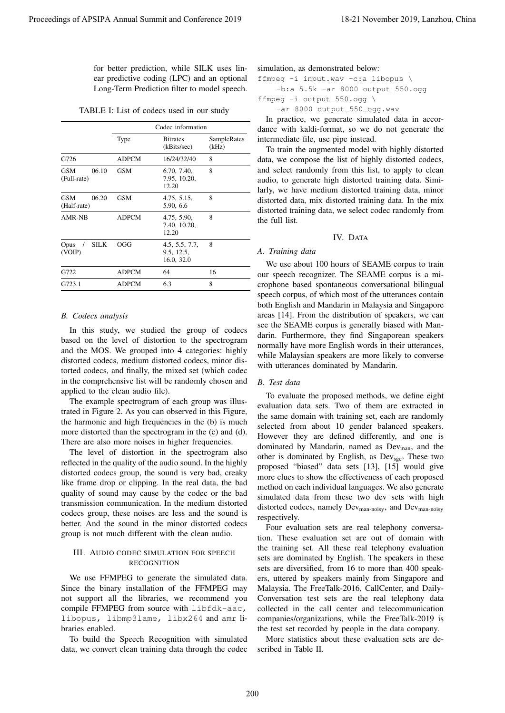TABLE I: List of codecs used in our study

| for better prediction, while SILK uses lin-<br>ear predictive coding (LPC) and an optional<br>Long-Term Prediction filter to model speech. |                   |                                                                                                                                                                                                                                                                                                                                                                                           |                      | simulation, as demonstrated below:<br>ffmpeg -i input.wav -c:a libopus \<br>$-b:a 5.5k -ar 8000 output_550.0gg$                                                                                                                                                                                                                                                                                   |
|--------------------------------------------------------------------------------------------------------------------------------------------|-------------------|-------------------------------------------------------------------------------------------------------------------------------------------------------------------------------------------------------------------------------------------------------------------------------------------------------------------------------------------------------------------------------------------|----------------------|---------------------------------------------------------------------------------------------------------------------------------------------------------------------------------------------------------------------------------------------------------------------------------------------------------------------------------------------------------------------------------------------------|
|                                                                                                                                            |                   | TABLE I: List of codecs used in our study                                                                                                                                                                                                                                                                                                                                                 |                      | ffmpeg -i output_550.ogg \<br>-ar 8000 output_550_ogg.wav                                                                                                                                                                                                                                                                                                                                         |
|                                                                                                                                            | Codec information |                                                                                                                                                                                                                                                                                                                                                                                           |                      | In practice, we generate simulated data in accor-<br>dance with kaldi-format, so we do not generate the                                                                                                                                                                                                                                                                                           |
|                                                                                                                                            | Type              | <b>Bitrates</b><br>(kBits/sec)                                                                                                                                                                                                                                                                                                                                                            | SampleRates<br>(kHz) | intermediate file, use pipe instead.<br>To train the augmented model with highly distorted                                                                                                                                                                                                                                                                                                        |
| G726                                                                                                                                       | <b>ADPCM</b>      | 16/24/32/40                                                                                                                                                                                                                                                                                                                                                                               | 8                    | data, we compose the list of highly distorted codecs,                                                                                                                                                                                                                                                                                                                                             |
| <b>GSM</b><br>06.10<br>(Full-rate)                                                                                                         | <b>GSM</b>        | 6.70, 7.40,<br>7.95, 10.20,<br>12.20                                                                                                                                                                                                                                                                                                                                                      | 8                    | and select randomly from this list, to apply to clean<br>audio, to generate high distorted training data. Simi-<br>larly, we have medium distorted training data, minor                                                                                                                                                                                                                           |
| <b>GSM</b><br>06.20<br>(Half-rate)                                                                                                         | <b>GSM</b>        | 4.75, 5.15,<br>5.90, 6.6                                                                                                                                                                                                                                                                                                                                                                  | 8                    | distorted data, mix distorted training data. In the mix<br>distorted training data, we select codec randomly from                                                                                                                                                                                                                                                                                 |
| AMR-NB                                                                                                                                     | <b>ADPCM</b>      | 4.75, 5.90,<br>7.40, 10.20,                                                                                                                                                                                                                                                                                                                                                               | 8                    | the full list.                                                                                                                                                                                                                                                                                                                                                                                    |
| $\rm SILK$<br>Opus /                                                                                                                       | OGG               | 12.20<br>4.5, 5.5, 7.7,                                                                                                                                                                                                                                                                                                                                                                   | $\,$ 8 $\,$          | IV. DATA                                                                                                                                                                                                                                                                                                                                                                                          |
| (VOIP)                                                                                                                                     |                   | 9.5, 12.5,<br>16.0, 32.0                                                                                                                                                                                                                                                                                                                                                                  |                      | A. Training data                                                                                                                                                                                                                                                                                                                                                                                  |
| G722                                                                                                                                       | <b>ADPCM</b>      | 64                                                                                                                                                                                                                                                                                                                                                                                        | 16                   | We use about 100 hours of SEAME corpus to train<br>our speech recognizer. The SEAME corpus is a mi-                                                                                                                                                                                                                                                                                               |
| G723.1                                                                                                                                     | ADPCM             | 6.3                                                                                                                                                                                                                                                                                                                                                                                       | 8                    | crophone based spontaneous conversational bilingual<br>speech corpus, of which most of the utterances contain                                                                                                                                                                                                                                                                                     |
| applied to the clean audio file).                                                                                                          |                   | In this study, we studied the group of codecs<br>based on the level of distortion to the spectrogram<br>and the MOS. We grouped into 4 categories: highly<br>distorted codecs, medium distorted codecs, minor dis-<br>torted codecs, and finally, the mixed set (which codec<br>in the comprehensive list will be randomly chosen and<br>The example spectrogram of each group was illus- |                      | areas [14]. From the distribution of speakers, we can<br>see the SEAME corpus is generally biased with Man-<br>darin. Furthermore, they find Singaporean speakers<br>normally have more English words in their utterances,<br>while Malaysian speakers are more likely to converse<br>with utterances dominated by Mandarin.<br>B. Test data<br>To evaluate the proposed methods, we define eight |
|                                                                                                                                            |                   | trated in Figure 2. As you can observed in this Figure,<br>the harmonic and high frequencies in the (b) is much<br>more distorted than the spectrogram in the (c) and (d).                                                                                                                                                                                                                |                      | evaluation data sets. Two of them are extracted in<br>the same domain with training set, each are randomly<br>selected from about 10 gender balanced speakers.                                                                                                                                                                                                                                    |
|                                                                                                                                            |                   | There are also more noises in higher frequencies.<br>The level of distortion in the spectrogram also<br>reflected in the quality of the audio sound. In the highly                                                                                                                                                                                                                        |                      | However they are defined differently, and one is<br>dominated by Mandarin, named as Dev <sub>man</sub> , and the<br>other is dominated by English, as Dev <sub>sge</sub> . These two                                                                                                                                                                                                              |
|                                                                                                                                            |                   | distorted codecs group, the sound is very bad, creaky<br>like frame drop or clipping. In the real data, the bad<br>quality of sound may cause by the codec or the bad                                                                                                                                                                                                                     |                      | proposed "biased" data sets [13], [15] would give<br>more clues to show the effectiveness of each proposed<br>method on each individual languages. We also generate                                                                                                                                                                                                                               |
|                                                                                                                                            |                   | transmission communication. In the medium distorted<br>codecs group, these noises are less and the sound is                                                                                                                                                                                                                                                                               |                      | simulated data from these two dev sets with high<br>distorted codecs, namely Dev <sub>man-noisy</sub> , and Dev <sub>man-noisy</sub><br>respectively.                                                                                                                                                                                                                                             |
|                                                                                                                                            |                   | better. And the sound in the minor distorted codecs<br>group is not much different with the clean audio.                                                                                                                                                                                                                                                                                  |                      | Four evaluation sets are real telephony conversa-<br>tion. These evaluation set are out of domain with                                                                                                                                                                                                                                                                                            |
|                                                                                                                                            |                   | III. AUDIO CODEC SIMULATION FOR SPEECH<br>RECOGNITION                                                                                                                                                                                                                                                                                                                                     |                      | the training set. All these real telephony evaluation<br>sets are dominated by English. The speakers in these<br>sets are diversified, from 16 to more than 400 speak-                                                                                                                                                                                                                            |

## *B. Codecs analysis*

## III. AUDIO CODEC SIMULATION FOR SPEECH **RECOGNITION**

```
ffmpeg -i input.wav -c:a libopus \
    -b:a 5.5k -ar 8000 output_550.ogg
```
## IV. DATA

## *A. Training data*

## *B. Test data*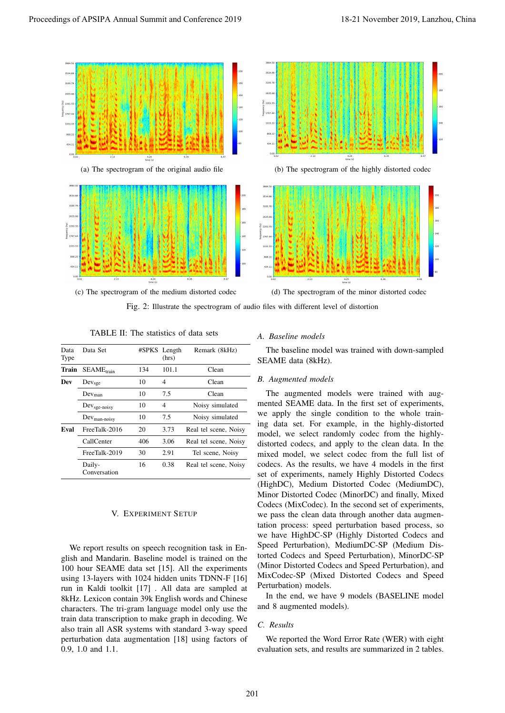

Fig. 2: Illustrate the spectrogram of audio files with different level of distortion

TABLE II: The statistics of data sets

| Data<br>Type | Data Set               |     | #SPKS Length<br>(hrs) | Remark (8kHz)         |
|--------------|------------------------|-----|-----------------------|-----------------------|
| Train        | $SEAME_{train}$        | 134 | 101.1                 | Clean                 |
| Dev          | Dev <sub>sge</sub>     | 10  | 4                     | Clean                 |
|              | Dev <sub>man</sub>     | 10  | 7.5                   | Clean                 |
|              | $Devsge-noisy$         | 10  | 4                     | Noisy simulated       |
|              | $Dev_{man-noisy}$      | 10  | 7.5                   | Noisy simulated       |
| Eval         | FreeTalk-2016          | 20  | 3.73                  | Real tel scene, Noisy |
|              | CallCenter             | 406 | 3.06                  | Real tel scene, Noisy |
|              | FreeTalk-2019          | 30  | 2.91                  | Tel scene, Noisy      |
|              | Daily-<br>Conversation | 16  | 0.38                  | Real tel scene, Noisy |

# V. EXPERIMENT SETUP

We report results on speech recognition task in English and Mandarin. Baseline model is trained on the 100 hour SEAME data set [15]. All the experiments using 13-layers with 1024 hidden units TDNN-F [16] run in Kaldi toolkit [17] . All data are sampled at 8kHz. Lexicon contain 39k English words and Chinese characters. The tri-gram language model only use the train data transcription to make graph in decoding. We also train all ASR systems with standard 3-way speed perturbation data augmentation [18] using factors of 0.9, 1.0 and 1.1.

#### *A. Baseline models*

The baseline model was trained with down-sampled SEAME data (8kHz).

#### *B. Augmented models*

The augmented models were trained with augmented SEAME data. In the first set of experiments, we apply the single condition to the whole training data set. For example, in the highly-distorted model, we select randomly codec from the highlydistorted codecs, and apply to the clean data. In the mixed model, we select codec from the full list of codecs. As the results, we have 4 models in the first set of experiments, namely Highly Distorted Codecs (HighDC), Medium Distorted Codec (MediumDC), Minor Distorted Codec (MinorDC) and finally, Mixed Codecs (MixCodec). In the second set of experiments, we pass the clean data through another data augmentation process: speed perturbation based process, so we have HighDC-SP (Highly Distorted Codecs and Speed Perturbation), MediumDC-SP (Medium Distorted Codecs and Speed Perturbation), MinorDC-SP (Minor Distorted Codecs and Speed Perturbation), and MixCodec-SP (Mixed Distorted Codecs and Speed Perturbation) models.

In the end, we have 9 models (BASELINE model and 8 augmented models).

## *C. Results*

We reported the Word Error Rate (WER) with eight evaluation sets, and results are summarized in 2 tables.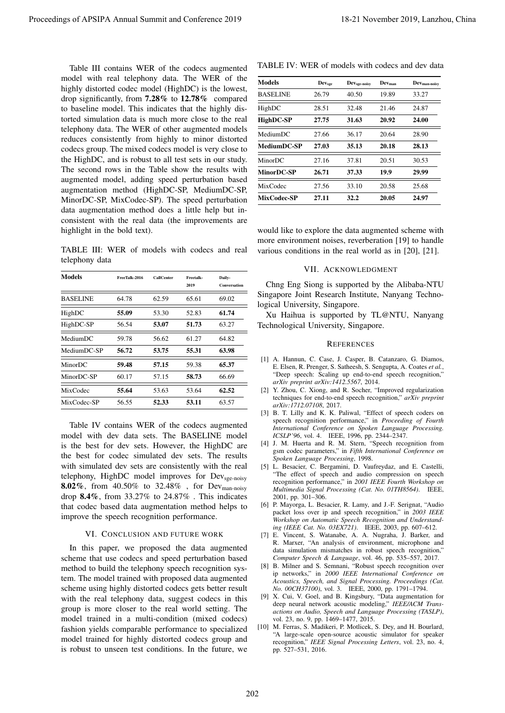Table III contains WER of the codecs augmented model with real telephony data. The WER of the highly distorted codec model (HighDC) is the lowest, drop significantly, from 7.28% to 12.78% compared to baseline model. This indicates that the highly distorted simulation data is much more close to the real telephony data. The WER of other augmented models reduces consistently from highly to minor distorted codecs group. The mixed codecs model is very close to the HighDC, and is robust to all test sets in our study. The second rows in the Table show the results with augmented model, adding speed perturbation based augmentation method (HighDC-SP, MediumDC-SP, MinorDC-SP, MixCodec-SP). The speed perturbation data augmentation method does a little help but inconsistent with the real data (the improvements are highlight in the bold text). Proceeding of APSIPA Annual Summit at China 2022<br>
This is the conference 2019 18-21 November 2019 18-21 November 2019 18-21 November 2019 18-21 November 2019 18-21 November 2019 18-21 November 2019 18-21 November 2019 18-

TABLE III: WER of models with codecs and real telephony data

| Models          | FreeTalk-2016 | <b>CallCenter</b> | Freetalk-<br>2019 | Daily-<br><b>Conversation</b> |
|-----------------|---------------|-------------------|-------------------|-------------------------------|
| <b>BASELINE</b> | 64.78         | 62.59             | 65.61             | 69.02                         |
| HighDC          | 55.09         | 53.30             | 52.83             | 61.74                         |
| HighDC-SP       | 56.54         | 53.07             | 51.73             | 63.27                         |
| MediumDC        | 59.78         | 56.62             | 61.27             | 64.82                         |
| MediumDC-SP     | 56.72         | 53.75             | 55.31             | 63.98                         |
| MinorDC         | 59.48         | 57.15             | 59.38             | 65.37                         |
| MinorDC-SP      | 60.17         | 57.15             | 58.73             | 66.69                         |
| MixCodec        | 55.64         | 53.63             | 53.64             | 62.52                         |
| MixCodec-SP     | 56.55         | 52.33             | 53.11             | 63.57                         |

Table IV contains WER of the codecs augmented model with dev data sets. The BASELINE model is the best for dev sets. However, the HighDC are the best for codec simulated dev sets. The results with simulated dev sets are consistently with the real telephony, HighDC model improves for Dev<sub>sge-noisy</sub> 8.02%, from 40.50% to 32.48% , for Devman-noisy drop 8.4%, from 33.27% to 24.87% . This indicates that codec based data augmentation method helps to improve the speech recognition performance.

#### VI. CONCLUSION AND FUTURE WORK

In this paper, we proposed the data augmented scheme that use codecs and speed perturbation based method to build the telephony speech recognition system. The model trained with proposed data augmented scheme using highly distorted codecs gets better result with the real telephony data, suggest codecs in this group is more closer to the real world setting. The model trained in a multi-condition (mixed codecs) fashion yields comparable performance to specialized model trained for highly distorted codecs group and is robust to unseen test conditions. In the future, we

TABLE IV: WER of models with codecs and dev data

| <b>Models</b>   | <b>Dev</b> <sub>sge</sub> | Dev <sub>sge-noisy</sub> | Dev <sub>man</sub> | Dev <sub>man-noisy</sub> |
|-----------------|---------------------------|--------------------------|--------------------|--------------------------|
| <b>BASELINE</b> | 26.79                     | 40.50                    | 19.89              | 33.27                    |
| HighDC          | 28.51                     | 32.48                    | 21.46              | 24.87                    |
| HighDC-SP       | 27.75                     | 31.63                    | 20.92              | 24.00                    |
| MediumDC        | 27.66                     | 36.17                    | 20.64              | 28.90                    |
| MediumDC-SP     | 27.03                     | 35.13                    | 20.18              | 28.13                    |
| MinorDC         | 27.16                     | 37.81                    | 20.51              | 30.53                    |
| MinorDC-SP      | 26.71                     | 37.33                    | 19.9               | 29.99                    |
| MixCodec        | 27.56                     | 33.10                    | 20.58              | 25.68                    |
| MixCodec-SP     | 27.11                     | 32.2                     | 20.05              | 24.97                    |

would like to explore the data augmented scheme with more environment noises, reverberation [19] to handle various conditions in the real world as in [20], [21].

#### VII. ACKNOWLEDGMENT

Chng Eng Siong is supported by the Alibaba-NTU Singapore Joint Research Institute, Nanyang Technological University, Singapore.

Xu Haihua is supported by TL@NTU, Nanyang Technological University, Singapore.

#### **REFERENCES**

- [1] A. Hannun, C. Case, J. Casper, B. Catanzaro, G. Diamos, E. Elsen, R. Prenger, S. Satheesh, S. Sengupta, A. Coates *et al.*, "Deep speech: Scaling up end-to-end speech recognition," *arXiv preprint arXiv:1412.5567*, 2014.
- [2] Y. Zhou, C. Xiong, and R. Socher, "Improved regularization techniques for end-to-end speech recognition," *arXiv preprint arXiv:1712.07108*, 2017.
- [3] B. T. Lilly and K. K. Paliwal, "Effect of speech coders on speech recognition performance," in *Proceeding of Fourth International Conference on Spoken Language Processing. ICSLP'96*, vol. 4. IEEE, 1996, pp. 2344–2347.
- [4] J. M. Huerta and R. M. Stern, "Speech recognition from gsm codec parameters," in *Fifth International Conference on Spoken Language Processing*, 1998.
- [5] L. Besacier, C. Bergamini, D. Vaufreydaz, and E. Castelli, "The effect of speech and audio compression on speech recognition performance," in *2001 IEEE Fourth Workshop on Multimedia Signal Processing (Cat. No. 01TH8564)*. IEEE, 2001, pp. 301–306.
- [6] P. Mayorga, L. Besacier, R. Lamy, and J.-F. Serignat, "Audio packet loss over ip and speech recognition," in *2003 IEEE Workshop on Automatic Speech Recognition and Understanding (IEEE Cat. No. 03EX721)*. IEEE, 2003, pp. 607–612.
- [7] E. Vincent, S. Watanabe, A. A. Nugraha, J. Barker, and R. Marxer, "An analysis of environment, microphone and data simulation mismatches in robust speech recognition,' *Computer Speech & Language*, vol. 46, pp. 535–557, 2017.
- [8] B. Milner and S. Semnani, "Robust speech recognition over ip networks," in *2000 IEEE International Conference on Acoustics, Speech, and Signal Processing. Proceedings (Cat. No. 00CH37100)*, vol. 3. IEEE, 2000, pp. 1791–1794.
- [9] X. Cui, V. Goel, and B. Kingsbury, "Data augmentation for deep neural network acoustic modeling," *IEEE/ACM Transactions on Audio, Speech and Language Processing (TASLP)*, vol. 23, no. 9, pp. 1469–1477, 2015.
- [10] M. Ferras, S. Madikeri, P. Motlicek, S. Dey, and H. Bourlard, "A large-scale open-source acoustic simulator for speaker recognition," *IEEE Signal Processing Letters*, vol. 23, no. 4, pp. 527–531, 2016.